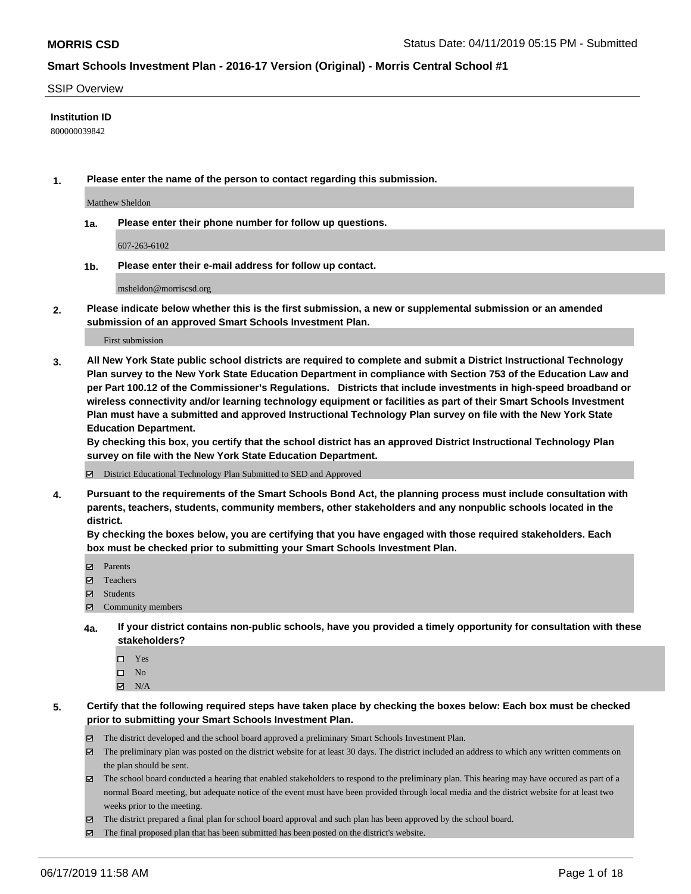#### SSIP Overview

#### **Institution ID**

800000039842

**1. Please enter the name of the person to contact regarding this submission.**

Matthew Sheldon

**1a. Please enter their phone number for follow up questions.**

607-263-6102

**1b. Please enter their e-mail address for follow up contact.**

msheldon@morriscsd.org

**2. Please indicate below whether this is the first submission, a new or supplemental submission or an amended submission of an approved Smart Schools Investment Plan.**

First submission

**3. All New York State public school districts are required to complete and submit a District Instructional Technology Plan survey to the New York State Education Department in compliance with Section 753 of the Education Law and per Part 100.12 of the Commissioner's Regulations. Districts that include investments in high-speed broadband or wireless connectivity and/or learning technology equipment or facilities as part of their Smart Schools Investment Plan must have a submitted and approved Instructional Technology Plan survey on file with the New York State Education Department.** 

**By checking this box, you certify that the school district has an approved District Instructional Technology Plan survey on file with the New York State Education Department.**

District Educational Technology Plan Submitted to SED and Approved

**4. Pursuant to the requirements of the Smart Schools Bond Act, the planning process must include consultation with parents, teachers, students, community members, other stakeholders and any nonpublic schools located in the district.** 

**By checking the boxes below, you are certifying that you have engaged with those required stakeholders. Each box must be checked prior to submitting your Smart Schools Investment Plan.**

- Parents
- Teachers
- Students
- $\Xi$  Community members
- **4a. If your district contains non-public schools, have you provided a timely opportunity for consultation with these stakeholders?**
	- □ Yes
	- $\square$  No
	- $N/A$
- **5. Certify that the following required steps have taken place by checking the boxes below: Each box must be checked prior to submitting your Smart Schools Investment Plan.**
	- The district developed and the school board approved a preliminary Smart Schools Investment Plan.
	- $\boxtimes$  The preliminary plan was posted on the district website for at least 30 days. The district included an address to which any written comments on the plan should be sent.
	- $\boxtimes$  The school board conducted a hearing that enabled stakeholders to respond to the preliminary plan. This hearing may have occured as part of a normal Board meeting, but adequate notice of the event must have been provided through local media and the district website for at least two weeks prior to the meeting.
	- The district prepared a final plan for school board approval and such plan has been approved by the school board.
	- $\boxtimes$  The final proposed plan that has been submitted has been posted on the district's website.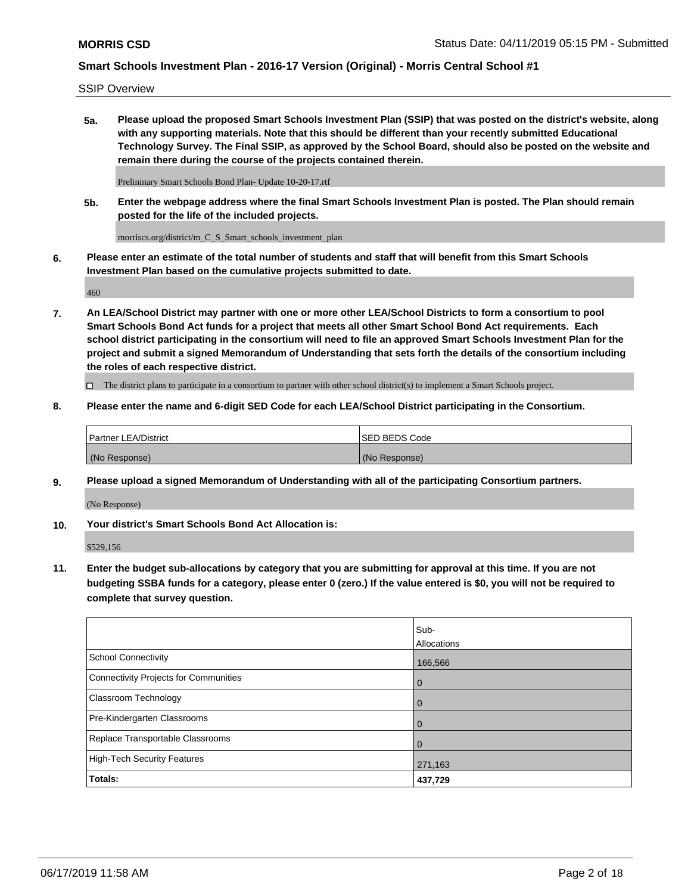SSIP Overview

**5a. Please upload the proposed Smart Schools Investment Plan (SSIP) that was posted on the district's website, along with any supporting materials. Note that this should be different than your recently submitted Educational Technology Survey. The Final SSIP, as approved by the School Board, should also be posted on the website and remain there during the course of the projects contained therein.**

Prelininary Smart Schools Bond Plan- Update 10-20-17.rtf

**5b. Enter the webpage address where the final Smart Schools Investment Plan is posted. The Plan should remain posted for the life of the included projects.**

morriscs.org/district/m\_C\_S\_Smart\_schools\_investment\_plan

**6. Please enter an estimate of the total number of students and staff that will benefit from this Smart Schools Investment Plan based on the cumulative projects submitted to date.**

460

**7. An LEA/School District may partner with one or more other LEA/School Districts to form a consortium to pool Smart Schools Bond Act funds for a project that meets all other Smart School Bond Act requirements. Each school district participating in the consortium will need to file an approved Smart Schools Investment Plan for the project and submit a signed Memorandum of Understanding that sets forth the details of the consortium including the roles of each respective district.**

 $\Box$  The district plans to participate in a consortium to partner with other school district(s) to implement a Smart Schools project.

### **8. Please enter the name and 6-digit SED Code for each LEA/School District participating in the Consortium.**

| <b>Partner LEA/District</b> | <b>ISED BEDS Code</b> |
|-----------------------------|-----------------------|
| (No Response)               | (No Response)         |

#### **9. Please upload a signed Memorandum of Understanding with all of the participating Consortium partners.**

(No Response)

**10. Your district's Smart Schools Bond Act Allocation is:**

\$529,156

**11. Enter the budget sub-allocations by category that you are submitting for approval at this time. If you are not budgeting SSBA funds for a category, please enter 0 (zero.) If the value entered is \$0, you will not be required to complete that survey question.**

|                                       | Sub-<br>Allocations |
|---------------------------------------|---------------------|
| School Connectivity                   | 166,566             |
| Connectivity Projects for Communities | $\overline{0}$      |
| <b>Classroom Technology</b>           | 0                   |
| Pre-Kindergarten Classrooms           | $\overline{0}$      |
| Replace Transportable Classrooms      |                     |
| High-Tech Security Features           | 271,163             |
| Totals:                               | 437,729             |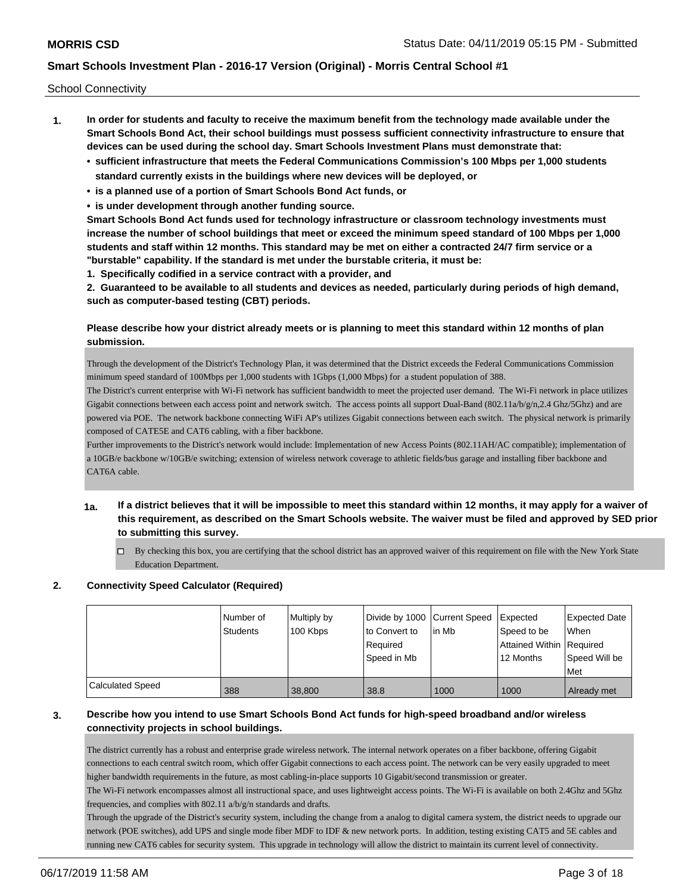School Connectivity

- **1. In order for students and faculty to receive the maximum benefit from the technology made available under the Smart Schools Bond Act, their school buildings must possess sufficient connectivity infrastructure to ensure that devices can be used during the school day. Smart Schools Investment Plans must demonstrate that:**
	- **• sufficient infrastructure that meets the Federal Communications Commission's 100 Mbps per 1,000 students standard currently exists in the buildings where new devices will be deployed, or**
	- **• is a planned use of a portion of Smart Schools Bond Act funds, or**
	- **• is under development through another funding source.**

**Smart Schools Bond Act funds used for technology infrastructure or classroom technology investments must increase the number of school buildings that meet or exceed the minimum speed standard of 100 Mbps per 1,000 students and staff within 12 months. This standard may be met on either a contracted 24/7 firm service or a "burstable" capability. If the standard is met under the burstable criteria, it must be:**

**1. Specifically codified in a service contract with a provider, and**

**2. Guaranteed to be available to all students and devices as needed, particularly during periods of high demand, such as computer-based testing (CBT) periods.**

### **Please describe how your district already meets or is planning to meet this standard within 12 months of plan submission.**

Through the development of the District's Technology Plan, it was determined that the District exceeds the Federal Communications Commission minimum speed standard of 100Mbps per 1,000 students with 1Gbps (1,000 Mbps) for a student population of 388.

The District's current enterprise with Wi-Fi network has sufficient bandwidth to meet the projected user demand. The Wi-Fi network in place utilizes Gigabit connections between each access point and network switch. The access points all support Dual-Band (802.11a/b/g/n,2.4 Ghz/5Ghz) and are powered via POE. The network backbone connecting WiFi AP's utilizes Gigabit connections between each switch. The physical network is primarily composed of CATE5E and CAT6 cabling, with a fiber backbone.

Further improvements to the District's network would include: Implementation of new Access Points (802.11AH/AC compatible); implementation of a 10GB/e backbone w/10GB/e switching; extension of wireless network coverage to athletic fields/bus garage and installing fiber backbone and CAT6A cable.

- **1a. If a district believes that it will be impossible to meet this standard within 12 months, it may apply for a waiver of this requirement, as described on the Smart Schools website. The waiver must be filed and approved by SED prior to submitting this survey.**
	- $\Box$  By checking this box, you are certifying that the school district has an approved waiver of this requirement on file with the New York State Education Department.

### **2. Connectivity Speed Calculator (Required)**

|                  | Number of<br><b>Students</b> | Multiply by<br>100 Kbps | Divide by 1000 Current Speed<br>to Convert to<br>Reauired<br>Speed in Mb | lin Mb | Expected<br>Speed to be<br>Attained Within Required<br>12 Months | <b>Expected Date</b><br>When<br>Speed Will be<br>l Met |
|------------------|------------------------------|-------------------------|--------------------------------------------------------------------------|--------|------------------------------------------------------------------|--------------------------------------------------------|
| Calculated Speed | 388                          | 38,800                  | 38.8                                                                     | 1000   | 1000                                                             | Already met                                            |

### **3. Describe how you intend to use Smart Schools Bond Act funds for high-speed broadband and/or wireless connectivity projects in school buildings.**

The district currently has a robust and enterprise grade wireless network. The internal network operates on a fiber backbone, offering Gigabit connections to each central switch room, which offer Gigabit connections to each access point. The network can be very easily upgraded to meet higher bandwidth requirements in the future, as most cabling-in-place supports 10 Gigabit/second transmission or greater.

The Wi-Fi network encompasses almost all instructional space, and uses lightweight access points. The Wi-Fi is available on both 2.4Ghz and 5Ghz frequencies, and complies with 802.11 a/b/g/n standards and drafts.

Through the upgrade of the District's security system, including the change from a analog to digital camera system, the district needs to upgrade our network (POE switches), add UPS and single mode fiber MDF to IDF & new network ports. In addition, testing existing CAT5 and 5E cables and running new CAT6 cables for security system. This upgrade in technology will allow the district to maintain its current level of connectivity.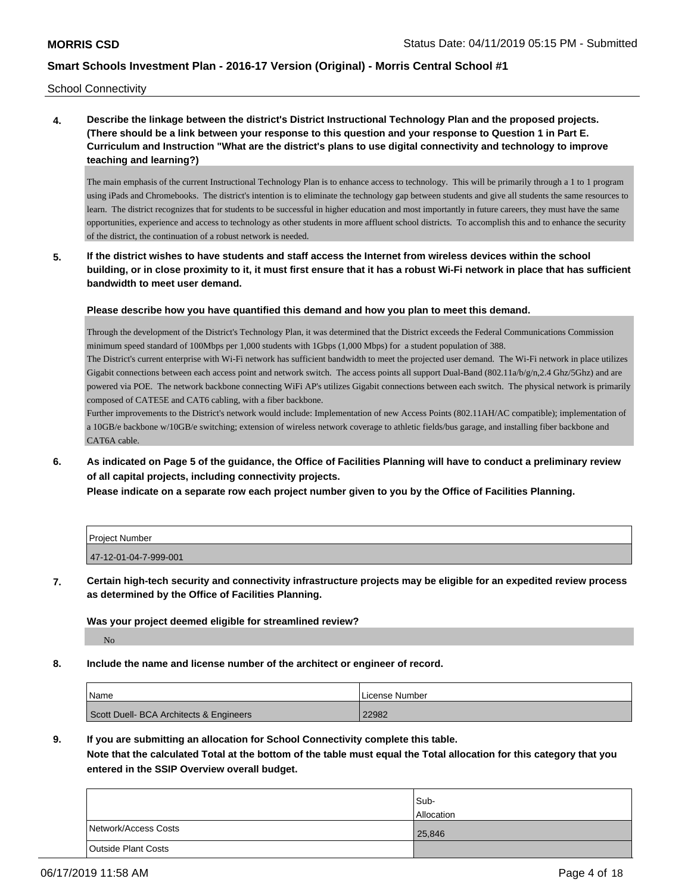School Connectivity

**4. Describe the linkage between the district's District Instructional Technology Plan and the proposed projects. (There should be a link between your response to this question and your response to Question 1 in Part E. Curriculum and Instruction "What are the district's plans to use digital connectivity and technology to improve teaching and learning?)**

The main emphasis of the current Instructional Technology Plan is to enhance access to technology. This will be primarily through a 1 to 1 program using iPads and Chromebooks. The district's intention is to eliminate the technology gap between students and give all students the same resources to learn. The district recognizes that for students to be successful in higher education and most importantly in future careers, they must have the same opportunities, experience and access to technology as other students in more affluent school districts. To accomplish this and to enhance the security of the district, the continuation of a robust network is needed.

**5. If the district wishes to have students and staff access the Internet from wireless devices within the school building, or in close proximity to it, it must first ensure that it has a robust Wi-Fi network in place that has sufficient bandwidth to meet user demand.**

**Please describe how you have quantified this demand and how you plan to meet this demand.**

Through the development of the District's Technology Plan, it was determined that the District exceeds the Federal Communications Commission minimum speed standard of 100Mbps per 1,000 students with 1Gbps (1,000 Mbps) for a student population of 388.

The District's current enterprise with Wi-Fi network has sufficient bandwidth to meet the projected user demand. The Wi-Fi network in place utilizes Gigabit connections between each access point and network switch. The access points all support Dual-Band (802.11a/b/g/n,2.4 Ghz/5Ghz) and are powered via POE. The network backbone connecting WiFi AP's utilizes Gigabit connections between each switch. The physical network is primarily composed of CATE5E and CAT6 cabling, with a fiber backbone.

Further improvements to the District's network would include: Implementation of new Access Points (802.11AH/AC compatible); implementation of a 10GB/e backbone w/10GB/e switching; extension of wireless network coverage to athletic fields/bus garage, and installing fiber backbone and CAT6A cable.

**6. As indicated on Page 5 of the guidance, the Office of Facilities Planning will have to conduct a preliminary review of all capital projects, including connectivity projects.**

**Please indicate on a separate row each project number given to you by the Office of Facilities Planning.**

| l Proiect Number      |  |
|-----------------------|--|
| 47-12-01-04-7-999-001 |  |

**7. Certain high-tech security and connectivity infrastructure projects may be eligible for an expedited review process as determined by the Office of Facilities Planning.**

**Was your project deemed eligible for streamlined review?**

No

**8. Include the name and license number of the architect or engineer of record.**

| <b>Name</b>                             | License Number |
|-----------------------------------------|----------------|
| Scott Duell- BCA Architects & Engineers | 22982          |

**9. If you are submitting an allocation for School Connectivity complete this table. Note that the calculated Total at the bottom of the table must equal the Total allocation for this category that you entered in the SSIP Overview overall budget.** 

|                      | Sub-<br><b>Allocation</b> |
|----------------------|---------------------------|
| Network/Access Costs | 25,846                    |
| Outside Plant Costs  |                           |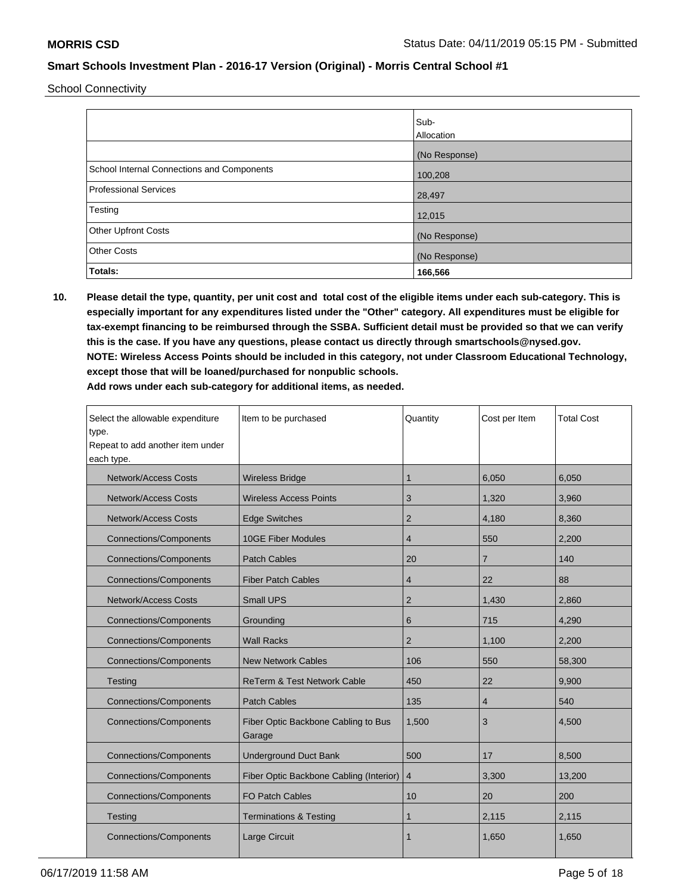School Connectivity

|                                            | Sub-<br>Allocation |
|--------------------------------------------|--------------------|
|                                            | (No Response)      |
| School Internal Connections and Components | 100,208            |
| Professional Services                      | 28,497             |
| Testing                                    | 12,015             |
| Other Upfront Costs                        | (No Response)      |
| <b>Other Costs</b>                         | (No Response)      |
| Totals:                                    | 166,566            |

**10. Please detail the type, quantity, per unit cost and total cost of the eligible items under each sub-category. This is especially important for any expenditures listed under the "Other" category. All expenditures must be eligible for tax-exempt financing to be reimbursed through the SSBA. Sufficient detail must be provided so that we can verify this is the case. If you have any questions, please contact us directly through smartschools@nysed.gov. NOTE: Wireless Access Points should be included in this category, not under Classroom Educational Technology, except those that will be loaned/purchased for nonpublic schools.**

| Select the allowable expenditure<br>type.<br>Repeat to add another item under<br>each type. | Item to be purchased                          | Quantity       | Cost per Item  | <b>Total Cost</b> |
|---------------------------------------------------------------------------------------------|-----------------------------------------------|----------------|----------------|-------------------|
| <b>Network/Access Costs</b>                                                                 | <b>Wireless Bridge</b>                        | 1              | 6,050          | 6,050             |
| <b>Network/Access Costs</b>                                                                 | <b>Wireless Access Points</b>                 | 3              | 1,320          | 3,960             |
| <b>Network/Access Costs</b>                                                                 | <b>Edge Switches</b>                          | $\overline{2}$ | 4,180          | 8,360             |
| <b>Connections/Components</b>                                                               | <b>10GE Fiber Modules</b>                     | $\overline{4}$ | 550            | 2,200             |
| <b>Connections/Components</b>                                                               | <b>Patch Cables</b>                           | 20             | $\overline{7}$ | 140               |
| <b>Connections/Components</b>                                                               | <b>Fiber Patch Cables</b>                     | $\overline{4}$ | 22             | 88                |
| <b>Network/Access Costs</b>                                                                 | <b>Small UPS</b>                              | 2              | 1,430          | 2,860             |
| <b>Connections/Components</b>                                                               | Grounding                                     | 6              | 715            | 4,290             |
| <b>Connections/Components</b>                                                               | <b>Wall Racks</b>                             | $\overline{2}$ | 1,100          | 2,200             |
| <b>Connections/Components</b>                                                               | <b>New Network Cables</b>                     | 106            | 550            | 58,300            |
| Testing                                                                                     | <b>ReTerm &amp; Test Network Cable</b>        | 450            | 22             | 9,900             |
| <b>Connections/Components</b>                                                               | <b>Patch Cables</b>                           | 135            | $\overline{4}$ | 540               |
| <b>Connections/Components</b>                                                               | Fiber Optic Backbone Cabling to Bus<br>Garage | 1,500          | 3              | 4,500             |
| <b>Connections/Components</b>                                                               | <b>Underground Duct Bank</b>                  | 500            | 17             | 8,500             |
| <b>Connections/Components</b>                                                               | Fiber Optic Backbone Cabling (Interior)       | $\overline{4}$ | 3,300          | 13,200            |
| <b>Connections/Components</b>                                                               | <b>FO Patch Cables</b>                        | 10             | 20             | 200               |
| Testing                                                                                     | <b>Terminations &amp; Testing</b>             | 1              | 2,115          | 2,115             |
| <b>Connections/Components</b>                                                               | Large Circuit                                 |                | 1,650          | 1,650             |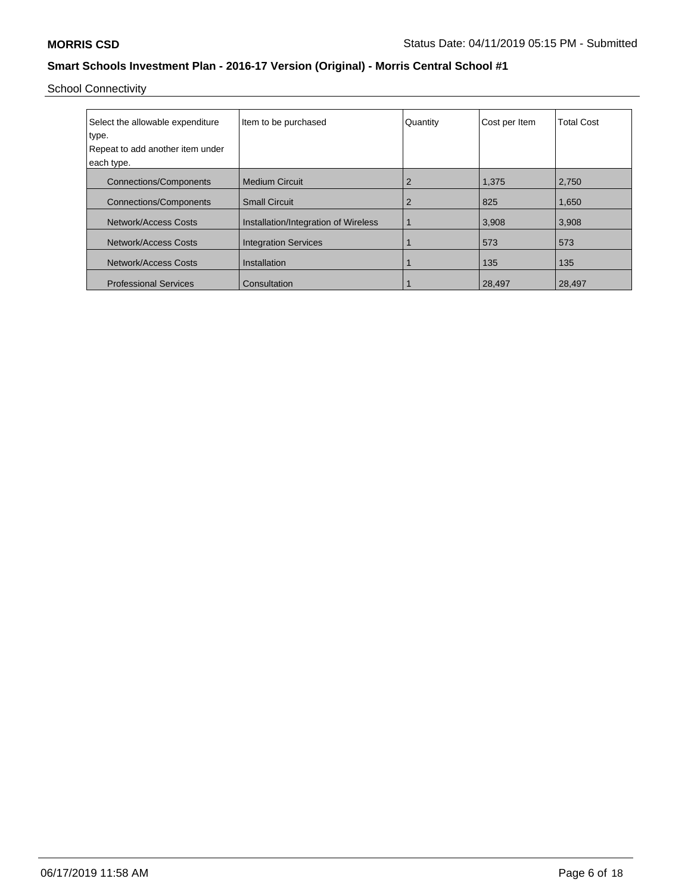School Connectivity

| Select the allowable expenditure<br>type. | Item to be purchased                 | Quantity | Cost per Item | <b>Total Cost</b> |
|-------------------------------------------|--------------------------------------|----------|---------------|-------------------|
| Repeat to add another item under          |                                      |          |               |                   |
| each type.                                |                                      |          |               |                   |
| <b>Connections/Components</b>             | l Medium Circuit                     |          | 1,375         | 2,750             |
| <b>Connections/Components</b>             | <b>Small Circuit</b>                 | 2        | 825           | 1,650             |
| Network/Access Costs                      | Installation/Integration of Wireless |          | 3,908         | 3,908             |
| Network/Access Costs                      | <b>Integration Services</b>          |          | 573           | 573               |
| Network/Access Costs                      | Installation                         |          | 135           | 135               |
| <b>Professional Services</b>              | Consultation                         |          | 28,497        | 28,497            |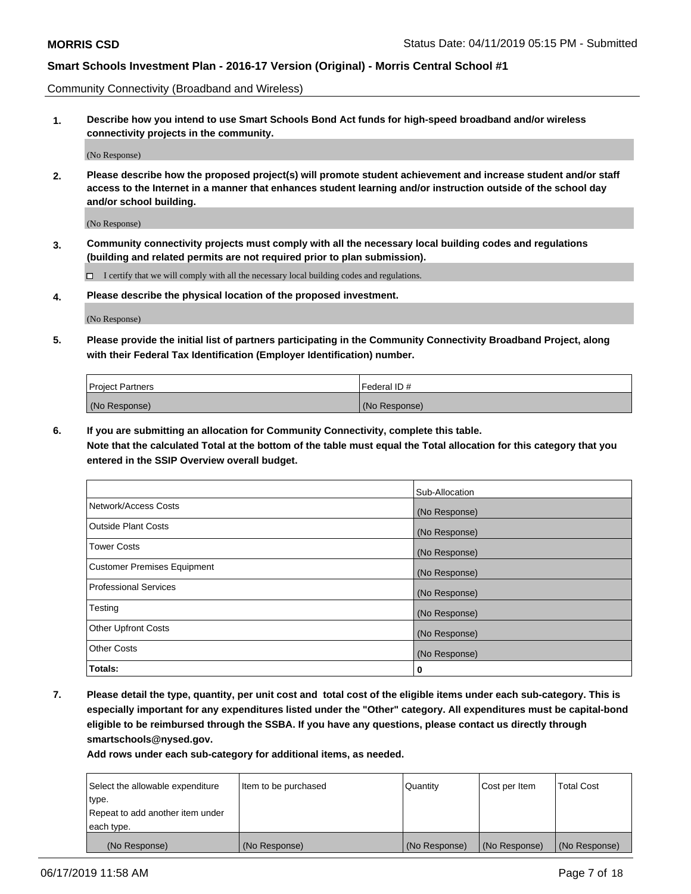Community Connectivity (Broadband and Wireless)

**1. Describe how you intend to use Smart Schools Bond Act funds for high-speed broadband and/or wireless connectivity projects in the community.**

(No Response)

**2. Please describe how the proposed project(s) will promote student achievement and increase student and/or staff access to the Internet in a manner that enhances student learning and/or instruction outside of the school day and/or school building.**

(No Response)

**3. Community connectivity projects must comply with all the necessary local building codes and regulations (building and related permits are not required prior to plan submission).**

 $\Box$  I certify that we will comply with all the necessary local building codes and regulations.

**4. Please describe the physical location of the proposed investment.**

(No Response)

**5. Please provide the initial list of partners participating in the Community Connectivity Broadband Project, along with their Federal Tax Identification (Employer Identification) number.**

| <b>Project Partners</b> | Federal ID#   |
|-------------------------|---------------|
| (No Response)           | (No Response) |

**6. If you are submitting an allocation for Community Connectivity, complete this table.**

**Note that the calculated Total at the bottom of the table must equal the Total allocation for this category that you entered in the SSIP Overview overall budget.**

|                                    | Sub-Allocation |
|------------------------------------|----------------|
| Network/Access Costs               | (No Response)  |
| <b>Outside Plant Costs</b>         | (No Response)  |
| <b>Tower Costs</b>                 | (No Response)  |
| <b>Customer Premises Equipment</b> | (No Response)  |
| <b>Professional Services</b>       | (No Response)  |
| Testing                            | (No Response)  |
| <b>Other Upfront Costs</b>         | (No Response)  |
| <b>Other Costs</b>                 | (No Response)  |
| Totals:                            | 0              |

**7. Please detail the type, quantity, per unit cost and total cost of the eligible items under each sub-category. This is especially important for any expenditures listed under the "Other" category. All expenditures must be capital-bond eligible to be reimbursed through the SSBA. If you have any questions, please contact us directly through smartschools@nysed.gov.**

| Select the allowable expenditure | Item to be purchased | Quantity      | Cost per Item | <b>Total Cost</b> |
|----------------------------------|----------------------|---------------|---------------|-------------------|
| type.                            |                      |               |               |                   |
| Repeat to add another item under |                      |               |               |                   |
| each type.                       |                      |               |               |                   |
| (No Response)                    | (No Response)        | (No Response) | (No Response) | (No Response)     |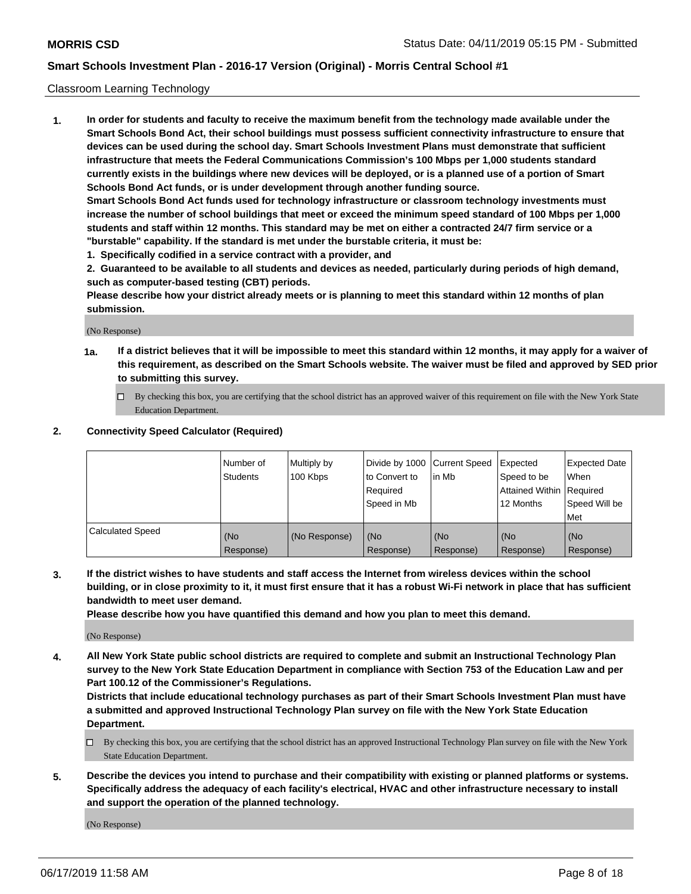### Classroom Learning Technology

**1. In order for students and faculty to receive the maximum benefit from the technology made available under the Smart Schools Bond Act, their school buildings must possess sufficient connectivity infrastructure to ensure that devices can be used during the school day. Smart Schools Investment Plans must demonstrate that sufficient infrastructure that meets the Federal Communications Commission's 100 Mbps per 1,000 students standard currently exists in the buildings where new devices will be deployed, or is a planned use of a portion of Smart Schools Bond Act funds, or is under development through another funding source. Smart Schools Bond Act funds used for technology infrastructure or classroom technology investments must increase the number of school buildings that meet or exceed the minimum speed standard of 100 Mbps per 1,000 students and staff within 12 months. This standard may be met on either a contracted 24/7 firm service or a**

- **"burstable" capability. If the standard is met under the burstable criteria, it must be:**
- **1. Specifically codified in a service contract with a provider, and**

**2. Guaranteed to be available to all students and devices as needed, particularly during periods of high demand, such as computer-based testing (CBT) periods.**

**Please describe how your district already meets or is planning to meet this standard within 12 months of plan submission.**

(No Response)

- **1a. If a district believes that it will be impossible to meet this standard within 12 months, it may apply for a waiver of this requirement, as described on the Smart Schools website. The waiver must be filed and approved by SED prior to submitting this survey.**
	- By checking this box, you are certifying that the school district has an approved waiver of this requirement on file with the New York State Education Department.

#### **2. Connectivity Speed Calculator (Required)**

|                         | l Number of<br>Students | Multiply by<br>100 Kbps | to Convert to<br>Required<br>Speed in Mb | Divide by 1000 Current Speed Expected<br>l in Mb | Speed to be<br>Attained Within Required<br>12 Months | Expected Date<br>When<br>Speed Will be<br>Met |
|-------------------------|-------------------------|-------------------------|------------------------------------------|--------------------------------------------------|------------------------------------------------------|-----------------------------------------------|
| <b>Calculated Speed</b> | (No<br>Response)        | (No Response)           | (No<br>Response)                         | (No<br>Response)                                 | (No<br>Response)                                     | (No<br>Response)                              |

**3. If the district wishes to have students and staff access the Internet from wireless devices within the school building, or in close proximity to it, it must first ensure that it has a robust Wi-Fi network in place that has sufficient bandwidth to meet user demand.**

**Please describe how you have quantified this demand and how you plan to meet this demand.**

(No Response)

**4. All New York State public school districts are required to complete and submit an Instructional Technology Plan survey to the New York State Education Department in compliance with Section 753 of the Education Law and per Part 100.12 of the Commissioner's Regulations.**

**Districts that include educational technology purchases as part of their Smart Schools Investment Plan must have a submitted and approved Instructional Technology Plan survey on file with the New York State Education Department.**

- $\Box$  By checking this box, you are certifying that the school district has an approved Instructional Technology Plan survey on file with the New York State Education Department.
- **5. Describe the devices you intend to purchase and their compatibility with existing or planned platforms or systems. Specifically address the adequacy of each facility's electrical, HVAC and other infrastructure necessary to install and support the operation of the planned technology.**

(No Response)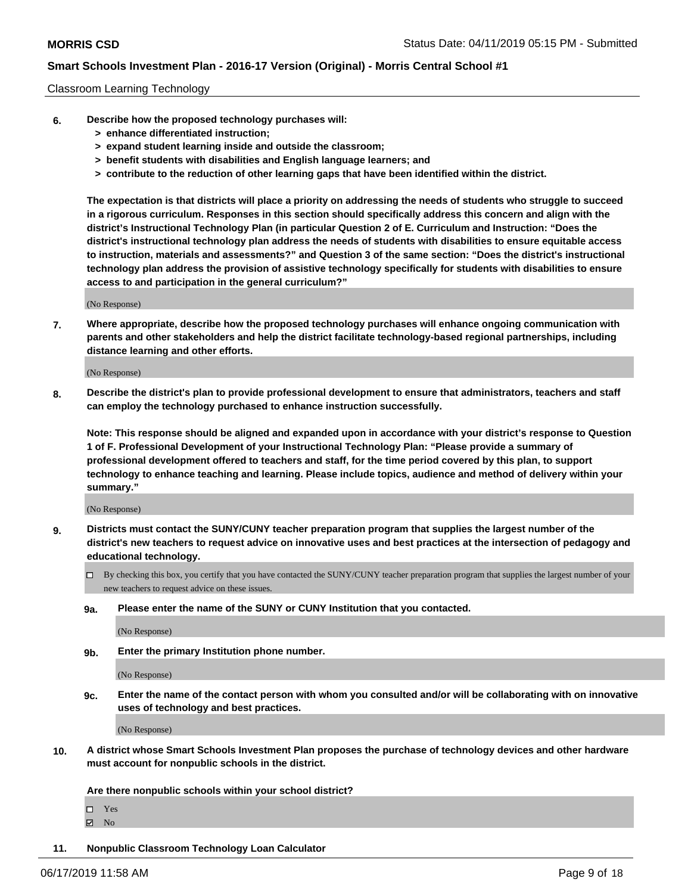#### Classroom Learning Technology

- **6. Describe how the proposed technology purchases will:**
	- **> enhance differentiated instruction;**
	- **> expand student learning inside and outside the classroom;**
	- **> benefit students with disabilities and English language learners; and**
	- **> contribute to the reduction of other learning gaps that have been identified within the district.**

**The expectation is that districts will place a priority on addressing the needs of students who struggle to succeed in a rigorous curriculum. Responses in this section should specifically address this concern and align with the district's Instructional Technology Plan (in particular Question 2 of E. Curriculum and Instruction: "Does the district's instructional technology plan address the needs of students with disabilities to ensure equitable access to instruction, materials and assessments?" and Question 3 of the same section: "Does the district's instructional technology plan address the provision of assistive technology specifically for students with disabilities to ensure access to and participation in the general curriculum?"**

(No Response)

**7. Where appropriate, describe how the proposed technology purchases will enhance ongoing communication with parents and other stakeholders and help the district facilitate technology-based regional partnerships, including distance learning and other efforts.**

(No Response)

**8. Describe the district's plan to provide professional development to ensure that administrators, teachers and staff can employ the technology purchased to enhance instruction successfully.**

**Note: This response should be aligned and expanded upon in accordance with your district's response to Question 1 of F. Professional Development of your Instructional Technology Plan: "Please provide a summary of professional development offered to teachers and staff, for the time period covered by this plan, to support technology to enhance teaching and learning. Please include topics, audience and method of delivery within your summary."**

(No Response)

- **9. Districts must contact the SUNY/CUNY teacher preparation program that supplies the largest number of the district's new teachers to request advice on innovative uses and best practices at the intersection of pedagogy and educational technology.**
	- By checking this box, you certify that you have contacted the SUNY/CUNY teacher preparation program that supplies the largest number of your new teachers to request advice on these issues.
	- **9a. Please enter the name of the SUNY or CUNY Institution that you contacted.**

(No Response)

**9b. Enter the primary Institution phone number.**

(No Response)

**9c. Enter the name of the contact person with whom you consulted and/or will be collaborating with on innovative uses of technology and best practices.**

(No Response)

**10. A district whose Smart Schools Investment Plan proposes the purchase of technology devices and other hardware must account for nonpublic schools in the district.**

**Are there nonpublic schools within your school district?**

Yes

**Ø** No

**11. Nonpublic Classroom Technology Loan Calculator**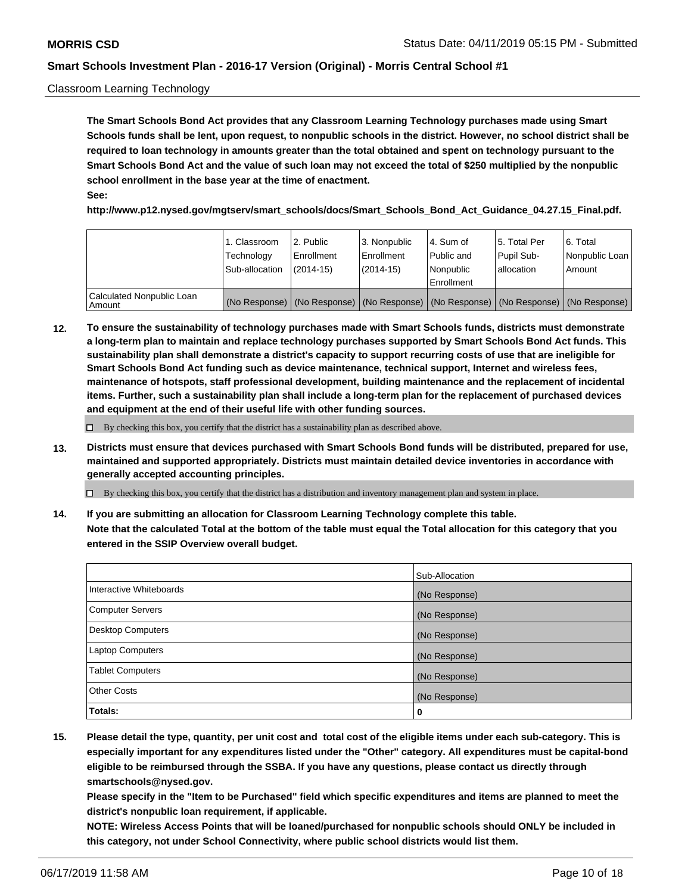### Classroom Learning Technology

**The Smart Schools Bond Act provides that any Classroom Learning Technology purchases made using Smart Schools funds shall be lent, upon request, to nonpublic schools in the district. However, no school district shall be required to loan technology in amounts greater than the total obtained and spent on technology pursuant to the Smart Schools Bond Act and the value of such loan may not exceed the total of \$250 multiplied by the nonpublic school enrollment in the base year at the time of enactment. See:**

**http://www.p12.nysed.gov/mgtserv/smart\_schools/docs/Smart\_Schools\_Bond\_Act\_Guidance\_04.27.15\_Final.pdf.**

|                                       | 1. Classroom<br>Technology<br>Sub-allocation | 2. Public<br>l Enrollment<br>$(2014-15)$ | l 3. Nonpublic<br>l Enrollment<br>$(2014 - 15)$ | l 4. Sum of<br>Public and<br>l Nonpublic<br>Enrollment                                        | 15. Total Per<br>Pupil Sub-<br>l allocation | l 6. Total<br>Nonpublic Loan<br>Amount |
|---------------------------------------|----------------------------------------------|------------------------------------------|-------------------------------------------------|-----------------------------------------------------------------------------------------------|---------------------------------------------|----------------------------------------|
| Calculated Nonpublic Loan<br>l Amount |                                              |                                          |                                                 | (No Response)   (No Response)   (No Response)   (No Response)   (No Response)   (No Response) |                                             |                                        |

**12. To ensure the sustainability of technology purchases made with Smart Schools funds, districts must demonstrate a long-term plan to maintain and replace technology purchases supported by Smart Schools Bond Act funds. This sustainability plan shall demonstrate a district's capacity to support recurring costs of use that are ineligible for Smart Schools Bond Act funding such as device maintenance, technical support, Internet and wireless fees, maintenance of hotspots, staff professional development, building maintenance and the replacement of incidental items. Further, such a sustainability plan shall include a long-term plan for the replacement of purchased devices and equipment at the end of their useful life with other funding sources.**

 $\Box$  By checking this box, you certify that the district has a sustainability plan as described above.

**13. Districts must ensure that devices purchased with Smart Schools Bond funds will be distributed, prepared for use, maintained and supported appropriately. Districts must maintain detailed device inventories in accordance with generally accepted accounting principles.**

By checking this box, you certify that the district has a distribution and inventory management plan and system in place.

**14. If you are submitting an allocation for Classroom Learning Technology complete this table. Note that the calculated Total at the bottom of the table must equal the Total allocation for this category that you entered in the SSIP Overview overall budget.**

|                          | Sub-Allocation |
|--------------------------|----------------|
| Interactive Whiteboards  | (No Response)  |
| <b>Computer Servers</b>  | (No Response)  |
| <b>Desktop Computers</b> | (No Response)  |
| <b>Laptop Computers</b>  | (No Response)  |
| <b>Tablet Computers</b>  | (No Response)  |
| <b>Other Costs</b>       | (No Response)  |
| Totals:                  | 0              |

**15. Please detail the type, quantity, per unit cost and total cost of the eligible items under each sub-category. This is especially important for any expenditures listed under the "Other" category. All expenditures must be capital-bond eligible to be reimbursed through the SSBA. If you have any questions, please contact us directly through smartschools@nysed.gov.**

**Please specify in the "Item to be Purchased" field which specific expenditures and items are planned to meet the district's nonpublic loan requirement, if applicable.**

**NOTE: Wireless Access Points that will be loaned/purchased for nonpublic schools should ONLY be included in this category, not under School Connectivity, where public school districts would list them.**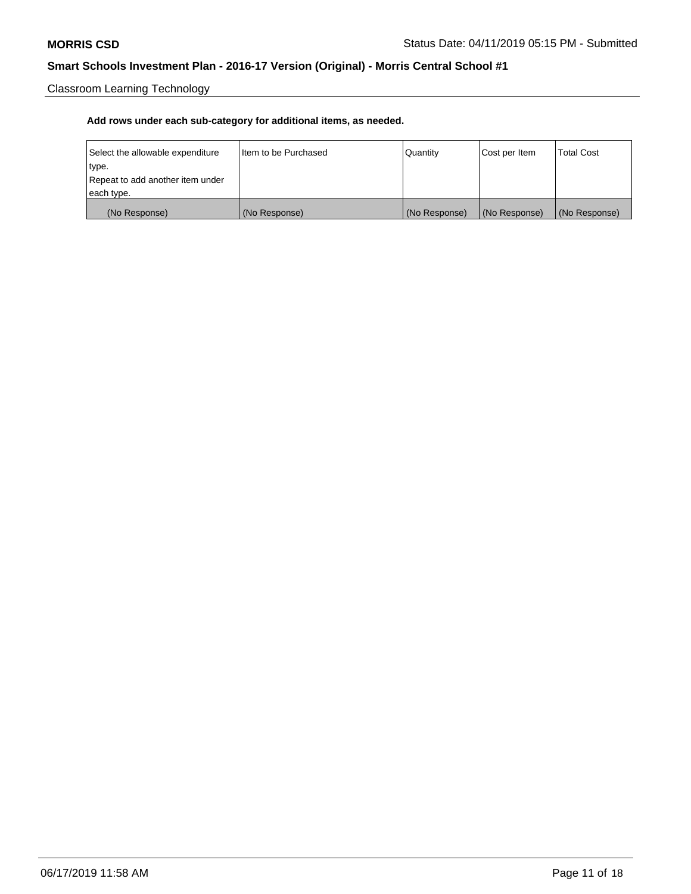Classroom Learning Technology

| Select the allowable expenditure | Iltem to be Purchased | Quantity      | Cost per Item | <b>Total Cost</b> |
|----------------------------------|-----------------------|---------------|---------------|-------------------|
| type.                            |                       |               |               |                   |
| Repeat to add another item under |                       |               |               |                   |
| each type.                       |                       |               |               |                   |
| (No Response)                    | (No Response)         | (No Response) | (No Response) | (No Response)     |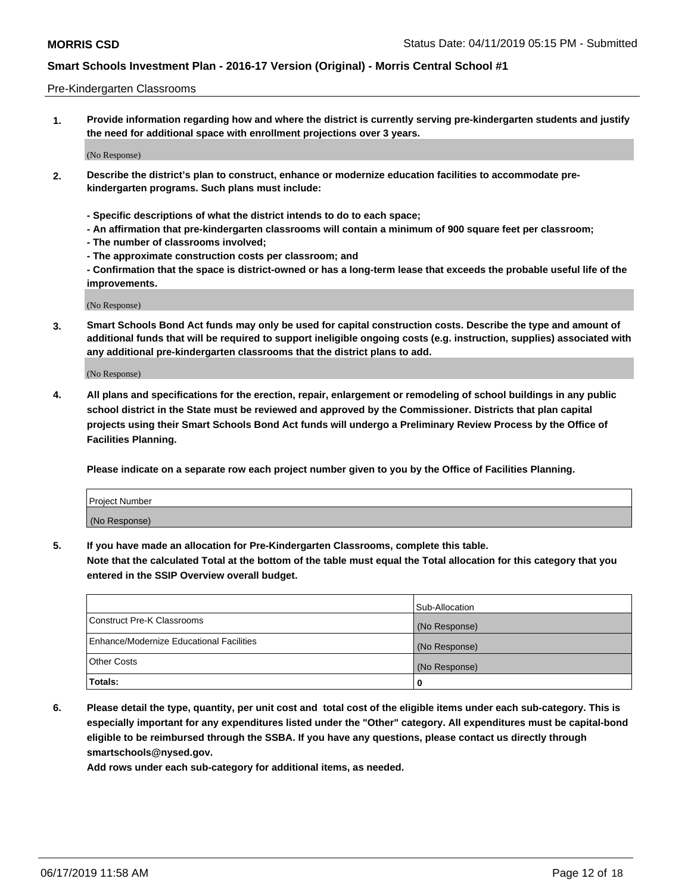#### Pre-Kindergarten Classrooms

**1. Provide information regarding how and where the district is currently serving pre-kindergarten students and justify the need for additional space with enrollment projections over 3 years.**

(No Response)

- **2. Describe the district's plan to construct, enhance or modernize education facilities to accommodate prekindergarten programs. Such plans must include:**
	- **Specific descriptions of what the district intends to do to each space;**
	- **An affirmation that pre-kindergarten classrooms will contain a minimum of 900 square feet per classroom;**
	- **The number of classrooms involved;**
	- **The approximate construction costs per classroom; and**
	- **Confirmation that the space is district-owned or has a long-term lease that exceeds the probable useful life of the improvements.**

(No Response)

**3. Smart Schools Bond Act funds may only be used for capital construction costs. Describe the type and amount of additional funds that will be required to support ineligible ongoing costs (e.g. instruction, supplies) associated with any additional pre-kindergarten classrooms that the district plans to add.**

(No Response)

**4. All plans and specifications for the erection, repair, enlargement or remodeling of school buildings in any public school district in the State must be reviewed and approved by the Commissioner. Districts that plan capital projects using their Smart Schools Bond Act funds will undergo a Preliminary Review Process by the Office of Facilities Planning.**

**Please indicate on a separate row each project number given to you by the Office of Facilities Planning.**

| Project Number |  |
|----------------|--|
| (No Response)  |  |
|                |  |

**5. If you have made an allocation for Pre-Kindergarten Classrooms, complete this table.**

**Note that the calculated Total at the bottom of the table must equal the Total allocation for this category that you entered in the SSIP Overview overall budget.**

|                                          | Sub-Allocation |
|------------------------------------------|----------------|
| Construct Pre-K Classrooms               | (No Response)  |
| Enhance/Modernize Educational Facilities | (No Response)  |
| <b>Other Costs</b>                       | (No Response)  |
| Totals:                                  | 0              |

**6. Please detail the type, quantity, per unit cost and total cost of the eligible items under each sub-category. This is especially important for any expenditures listed under the "Other" category. All expenditures must be capital-bond eligible to be reimbursed through the SSBA. If you have any questions, please contact us directly through smartschools@nysed.gov.**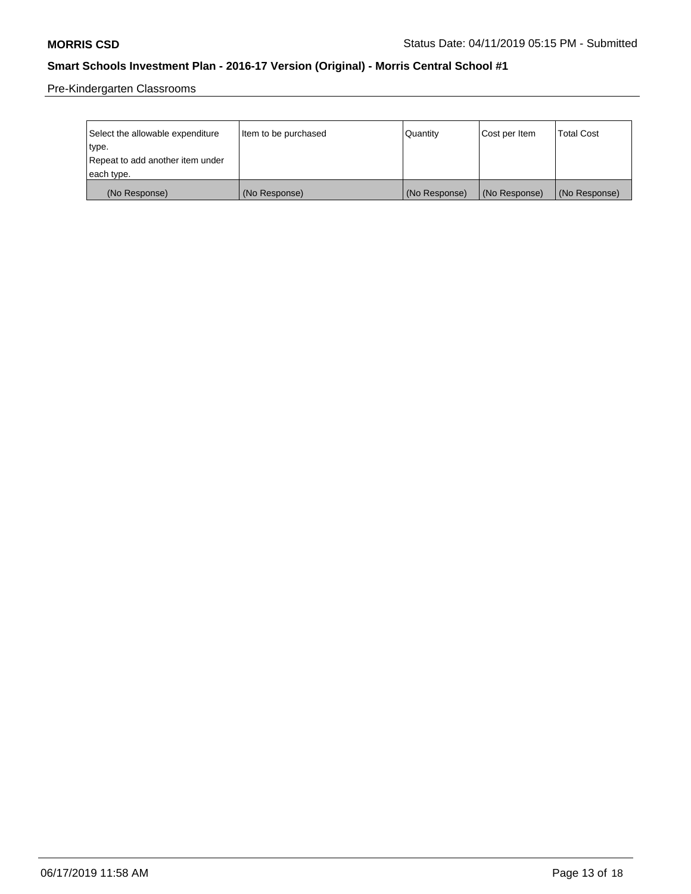Pre-Kindergarten Classrooms

| Select the allowable expenditure | Item to be purchased | Quantity      | Cost per Item | <b>Total Cost</b> |
|----------------------------------|----------------------|---------------|---------------|-------------------|
| type.                            |                      |               |               |                   |
| Repeat to add another item under |                      |               |               |                   |
| each type.                       |                      |               |               |                   |
| (No Response)                    | (No Response)        | (No Response) | (No Response) | (No Response)     |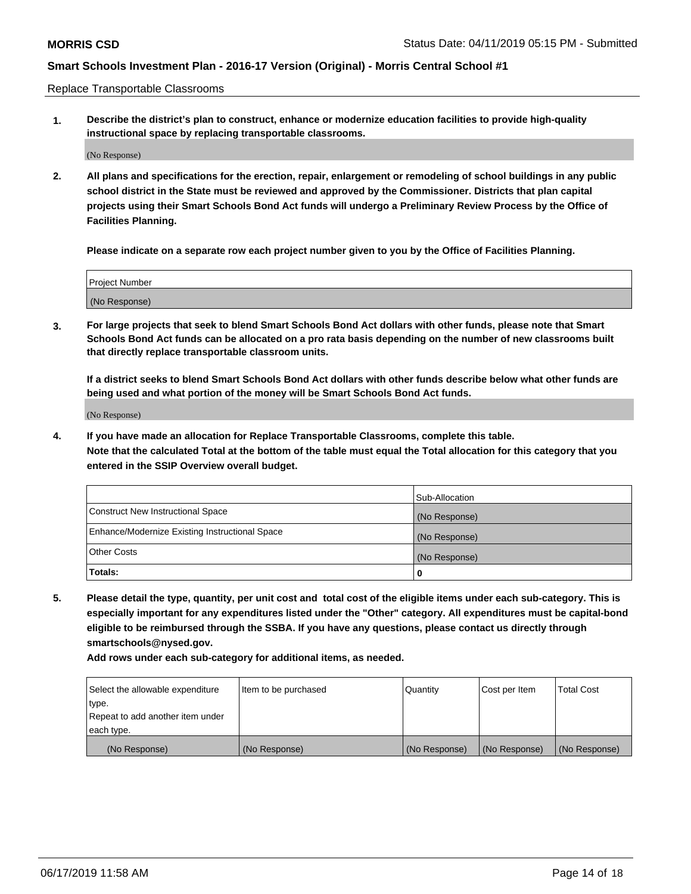Replace Transportable Classrooms

**1. Describe the district's plan to construct, enhance or modernize education facilities to provide high-quality instructional space by replacing transportable classrooms.**

(No Response)

**2. All plans and specifications for the erection, repair, enlargement or remodeling of school buildings in any public school district in the State must be reviewed and approved by the Commissioner. Districts that plan capital projects using their Smart Schools Bond Act funds will undergo a Preliminary Review Process by the Office of Facilities Planning.**

**Please indicate on a separate row each project number given to you by the Office of Facilities Planning.**

| Project Number |  |
|----------------|--|
|                |  |
| (No Response)  |  |

**3. For large projects that seek to blend Smart Schools Bond Act dollars with other funds, please note that Smart Schools Bond Act funds can be allocated on a pro rata basis depending on the number of new classrooms built that directly replace transportable classroom units.**

**If a district seeks to blend Smart Schools Bond Act dollars with other funds describe below what other funds are being used and what portion of the money will be Smart Schools Bond Act funds.**

(No Response)

**4. If you have made an allocation for Replace Transportable Classrooms, complete this table. Note that the calculated Total at the bottom of the table must equal the Total allocation for this category that you entered in the SSIP Overview overall budget.**

|                                                | Sub-Allocation |
|------------------------------------------------|----------------|
| Construct New Instructional Space              | (No Response)  |
| Enhance/Modernize Existing Instructional Space | (No Response)  |
| <b>Other Costs</b>                             | (No Response)  |
| Totals:                                        | 0              |

**5. Please detail the type, quantity, per unit cost and total cost of the eligible items under each sub-category. This is especially important for any expenditures listed under the "Other" category. All expenditures must be capital-bond eligible to be reimbursed through the SSBA. If you have any questions, please contact us directly through smartschools@nysed.gov.**

| Select the allowable expenditure | Item to be purchased | l Quantitv    | Cost per Item | <b>Total Cost</b> |
|----------------------------------|----------------------|---------------|---------------|-------------------|
| type.                            |                      |               |               |                   |
| Repeat to add another item under |                      |               |               |                   |
| each type.                       |                      |               |               |                   |
| (No Response)                    | (No Response)        | (No Response) | (No Response) | (No Response)     |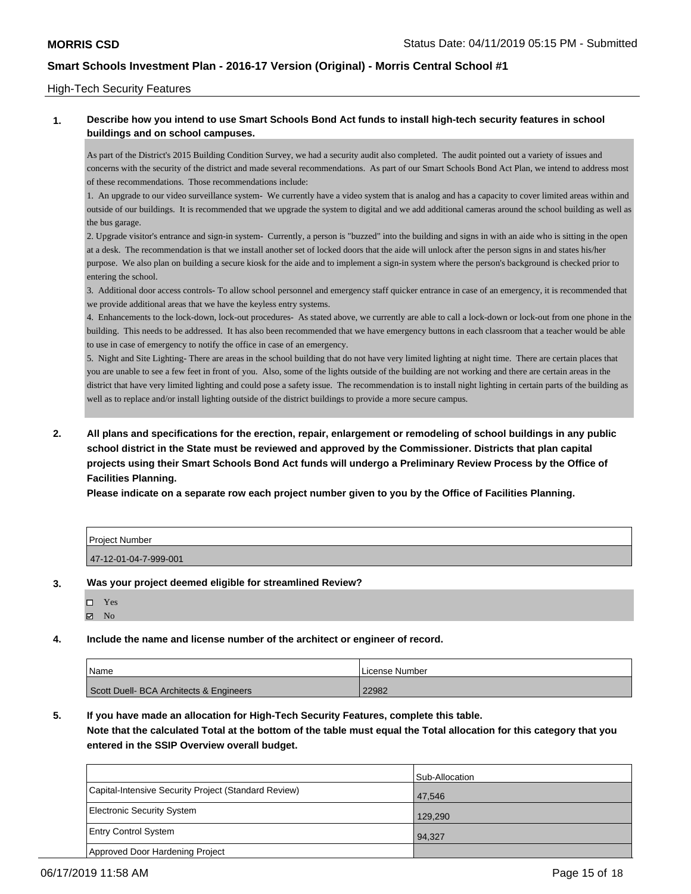#### High-Tech Security Features

### **1. Describe how you intend to use Smart Schools Bond Act funds to install high-tech security features in school buildings and on school campuses.**

As part of the District's 2015 Building Condition Survey, we had a security audit also completed. The audit pointed out a variety of issues and concerns with the security of the district and made several recommendations. As part of our Smart Schools Bond Act Plan, we intend to address most of these recommendations. Those recommendations include:

1. An upgrade to our video surveillance system- We currently have a video system that is analog and has a capacity to cover limited areas within and outside of our buildings. It is recommended that we upgrade the system to digital and we add additional cameras around the school building as well as the bus garage.

2. Upgrade visitor's entrance and sign-in system- Currently, a person is "buzzed" into the building and signs in with an aide who is sitting in the open at a desk. The recommendation is that we install another set of locked doors that the aide will unlock after the person signs in and states his/her purpose. We also plan on building a secure kiosk for the aide and to implement a sign-in system where the person's background is checked prior to entering the school.

3. Additional door access controls- To allow school personnel and emergency staff quicker entrance in case of an emergency, it is recommended that we provide additional areas that we have the keyless entry systems.

4. Enhancements to the lock-down, lock-out procedures- As stated above, we currently are able to call a lock-down or lock-out from one phone in the building. This needs to be addressed. It has also been recommended that we have emergency buttons in each classroom that a teacher would be able to use in case of emergency to notify the office in case of an emergency.

5. Night and Site Lighting- There are areas in the school building that do not have very limited lighting at night time. There are certain places that you are unable to see a few feet in front of you. Also, some of the lights outside of the building are not working and there are certain areas in the district that have very limited lighting and could pose a safety issue. The recommendation is to install night lighting in certain parts of the building as well as to replace and/or install lighting outside of the district buildings to provide a more secure campus.

**2. All plans and specifications for the erection, repair, enlargement or remodeling of school buildings in any public school district in the State must be reviewed and approved by the Commissioner. Districts that plan capital projects using their Smart Schools Bond Act funds will undergo a Preliminary Review Process by the Office of Facilities Planning.** 

**Please indicate on a separate row each project number given to you by the Office of Facilities Planning.**

| Project Number        |  |
|-----------------------|--|
| 47-12-01-04-7-999-001 |  |

#### **3. Was your project deemed eligible for streamlined Review?**

| LТ | Y es |
|----|------|
| 罓  | Nο   |

### **4. Include the name and license number of the architect or engineer of record.**

| Name                                    | License Number |
|-----------------------------------------|----------------|
| Scott Duell- BCA Architects & Engineers | 22982          |

**5. If you have made an allocation for High-Tech Security Features, complete this table.**

**Note that the calculated Total at the bottom of the table must equal the Total allocation for this category that you entered in the SSIP Overview overall budget.**

|                                                      | Sub-Allocation |
|------------------------------------------------------|----------------|
| Capital-Intensive Security Project (Standard Review) | 47.546         |
| Electronic Security System                           | 129.290        |
| <b>Entry Control System</b>                          | 94.327         |
| Approved Door Hardening Project                      |                |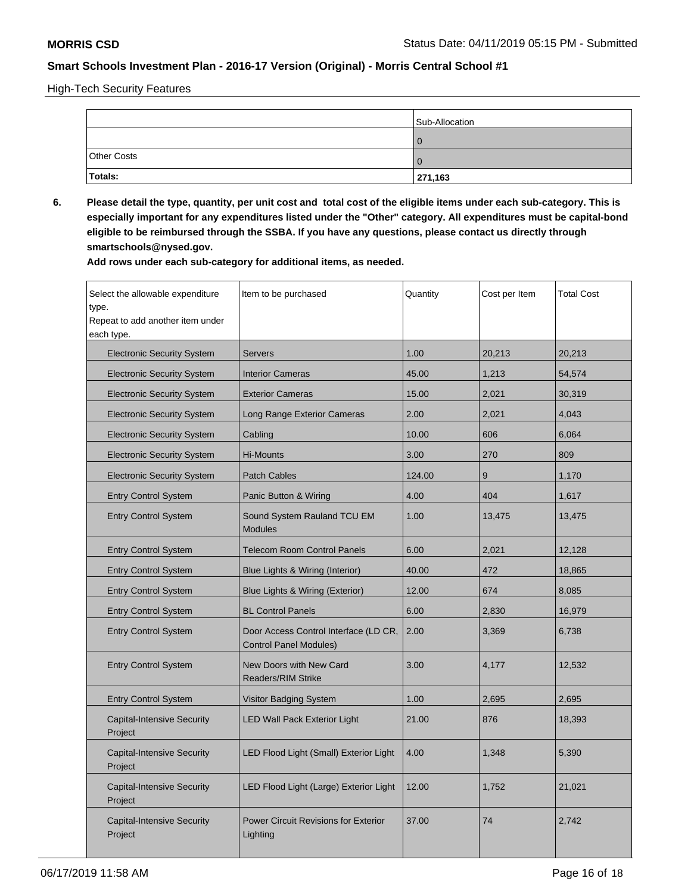High-Tech Security Features

|                    | Sub-Allocation |  |
|--------------------|----------------|--|
|                    |                |  |
| <b>Other Costs</b> |                |  |
| Totals:            | 271,163        |  |

**6. Please detail the type, quantity, per unit cost and total cost of the eligible items under each sub-category. This is especially important for any expenditures listed under the "Other" category. All expenditures must be capital-bond eligible to be reimbursed through the SSBA. If you have any questions, please contact us directly through smartschools@nysed.gov.**

| Select the allowable expenditure<br>type.<br>Repeat to add another item under<br>each type. | Item to be purchased                                                   | Quantity | Cost per Item | <b>Total Cost</b> |
|---------------------------------------------------------------------------------------------|------------------------------------------------------------------------|----------|---------------|-------------------|
| <b>Electronic Security System</b>                                                           | <b>Servers</b>                                                         | 1.00     | 20,213        | 20,213            |
| <b>Electronic Security System</b>                                                           | <b>Interior Cameras</b>                                                | 45.00    | 1,213         | 54,574            |
| <b>Electronic Security System</b>                                                           | <b>Exterior Cameras</b>                                                | 15.00    | 2,021         | 30,319            |
| <b>Electronic Security System</b>                                                           | Long Range Exterior Cameras                                            | 2.00     | 2,021         | 4,043             |
| <b>Electronic Security System</b>                                                           | Cabling                                                                | 10.00    | 606           | 6,064             |
| <b>Electronic Security System</b>                                                           | <b>Hi-Mounts</b>                                                       | 3.00     | 270           | 809               |
| <b>Electronic Security System</b>                                                           | <b>Patch Cables</b>                                                    | 124.00   | 9             | 1,170             |
| <b>Entry Control System</b>                                                                 | Panic Button & Wiring                                                  | 4.00     | 404           | 1,617             |
| <b>Entry Control System</b>                                                                 | Sound System Rauland TCU EM<br><b>Modules</b>                          | 1.00     | 13,475        | 13,475            |
| <b>Entry Control System</b>                                                                 | <b>Telecom Room Control Panels</b>                                     | 6.00     | 2,021         | 12,128            |
| <b>Entry Control System</b>                                                                 | Blue Lights & Wiring (Interior)                                        | 40.00    | 472           | 18,865            |
| <b>Entry Control System</b>                                                                 | Blue Lights & Wiring (Exterior)                                        | 12.00    | 674           | 8,085             |
| <b>Entry Control System</b>                                                                 | <b>BL Control Panels</b>                                               | 6.00     | 2,830         | 16,979            |
| <b>Entry Control System</b>                                                                 | Door Access Control Interface (LD CR,<br><b>Control Panel Modules)</b> | 2.00     | 3,369         | 6,738             |
| <b>Entry Control System</b>                                                                 | New Doors with New Card<br><b>Readers/RIM Strike</b>                   | 3.00     | 4,177         | 12,532            |
| <b>Entry Control System</b>                                                                 | Visitor Badging System                                                 | 1.00     | 2,695         | 2,695             |
| <b>Capital-Intensive Security</b><br>Project                                                | <b>LED Wall Pack Exterior Light</b>                                    | 21.00    | 876           | 18,393            |
| <b>Capital-Intensive Security</b><br>Project                                                | LED Flood Light (Small) Exterior Light                                 | 4.00     | 1,348         | 5,390             |
| <b>Capital-Intensive Security</b><br>Project                                                | LED Flood Light (Large) Exterior Light                                 | 12.00    | 1,752         | 21,021            |
| <b>Capital-Intensive Security</b><br>Project                                                | Power Circuit Revisions for Exterior<br>Lighting                       | 37.00    | 74            | 2,742             |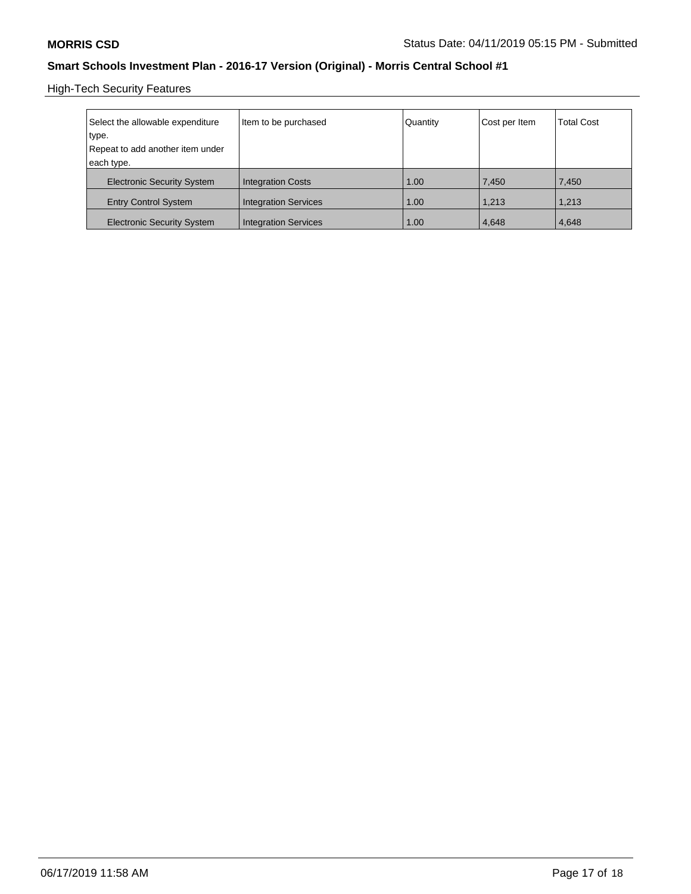High-Tech Security Features

| Select the allowable expenditure<br>type.      | Item to be purchased        | Quantity | Cost per Item | <b>Total Cost</b> |
|------------------------------------------------|-----------------------------|----------|---------------|-------------------|
| Repeat to add another item under<br>each type. |                             |          |               |                   |
| <b>Electronic Security System</b>              | <b>Integration Costs</b>    | 1.00     | 7,450         | 7,450             |
| <b>Entry Control System</b>                    | <b>Integration Services</b> | 1.00     | 1.213         | 1.213             |
| <b>Electronic Security System</b>              | <b>Integration Services</b> | 1.00     | 4,648         | 4,648             |